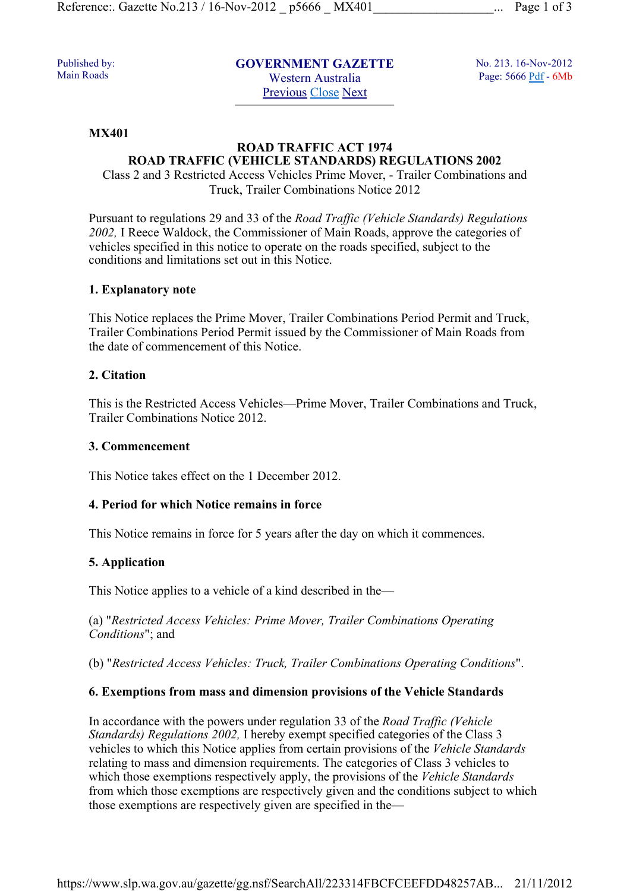Published by: Main Roads

**GOVERNMENT GAZETTE**  Western Australia Previous Close Next

No. 213. 16-Nov-2012 Page: 5666 Pdf - 6Mb

#### **MX401**

# **ROAD TRAFFIC ACT 1974 ROAD TRAFFIC (VEHICLE STANDARDS) REGULATIONS 2002**

Class 2 and 3 Restricted Access Vehicles Prime Mover, - Trailer Combinations and Truck, Trailer Combinations Notice 2012

Pursuant to regulations 29 and 33 of the *Road Traffic (Vehicle Standards) Regulations 2002,* I Reece Waldock, the Commissioner of Main Roads, approve the categories of vehicles specified in this notice to operate on the roads specified, subject to the conditions and limitations set out in this Notice.

#### **1. Explanatory note**

This Notice replaces the Prime Mover, Trailer Combinations Period Permit and Truck, Trailer Combinations Period Permit issued by the Commissioner of Main Roads from the date of commencement of this Notice.

### **2. Citation**

This is the Restricted Access Vehicles—Prime Mover, Trailer Combinations and Truck, Trailer Combinations Notice 2012.

#### **3. Commencement**

This Notice takes effect on the 1 December 2012.

### **4. Period for which Notice remains in force**

This Notice remains in force for 5 years after the day on which it commences.

### **5. Application**

This Notice applies to a vehicle of a kind described in the—

(a) "*Restricted Access Vehicles: Prime Mover, Trailer Combinations Operating Conditions*"; and

(b) "*Restricted Access Vehicles: Truck, Trailer Combinations Operating Conditions*".

### **6. Exemptions from mass and dimension provisions of the Vehicle Standards**

In accordance with the powers under regulation 33 of the *Road Traffic (Vehicle Standards) Regulations 2002,* I hereby exempt specified categories of the Class 3 vehicles to which this Notice applies from certain provisions of the *Vehicle Standards* relating to mass and dimension requirements. The categories of Class 3 vehicles to which those exemptions respectively apply, the provisions of the *Vehicle Standards* from which those exemptions are respectively given and the conditions subject to which those exemptions are respectively given are specified in the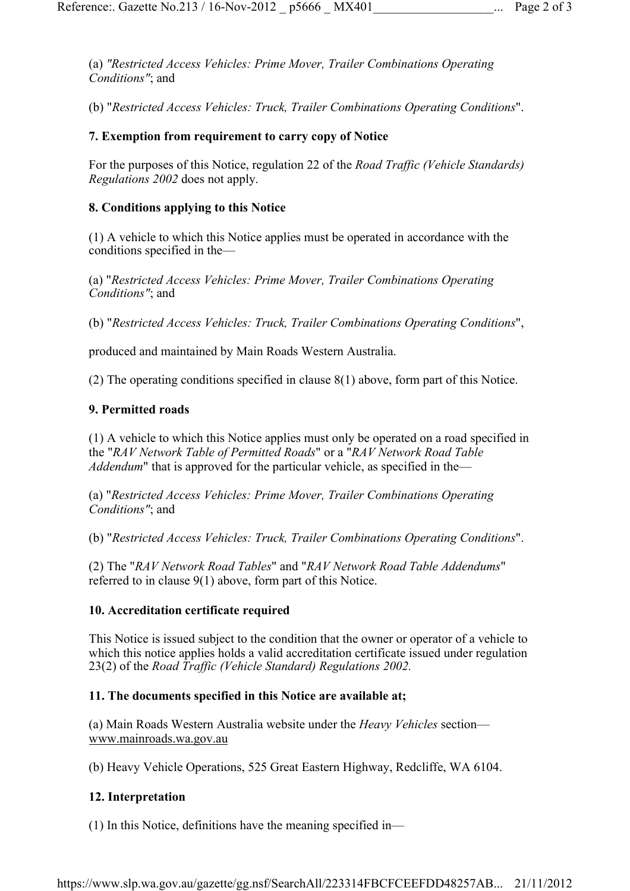(a) *"Restricted Access Vehicles: Prime Mover, Trailer Combinations Operating Conditions"*; and

(b) "*Restricted Access Vehicles: Truck, Trailer Combinations Operating Conditions*".

## **7. Exemption from requirement to carry copy of Notice**

For the purposes of this Notice, regulation 22 of the *Road Traffic (Vehicle Standards) Regulations 2002* does not apply.

### **8. Conditions applying to this Notice**

(1) A vehicle to which this Notice applies must be operated in accordance with the conditions specified in the—

(a) "*Restricted Access Vehicles: Prime Mover, Trailer Combinations Operating Conditions"*; and

(b) "*Restricted Access Vehicles: Truck, Trailer Combinations Operating Conditions*",

produced and maintained by Main Roads Western Australia.

(2) The operating conditions specified in clause 8(1) above, form part of this Notice.

#### **9. Permitted roads**

(1) A vehicle to which this Notice applies must only be operated on a road specified in the "*RAV Network Table of Permitted Roads*" or a "*RAV Network Road Table Addendum*" that is approved for the particular vehicle, as specified in the—

(a) "*Restricted Access Vehicles: Prime Mover, Trailer Combinations Operating Conditions"*; and

(b) "*Restricted Access Vehicles: Truck, Trailer Combinations Operating Conditions*".

(2) The "*RAV Network Road Tables*" and "*RAV Network Road Table Addendums*" referred to in clause 9(1) above, form part of this Notice.

### **10. Accreditation certificate required**

This Notice is issued subject to the condition that the owner or operator of a vehicle to which this notice applies holds a valid accreditation certificate issued under regulation 23(2) of the *Road Traffic (Vehicle Standard) Regulations 2002.*

#### **11. The documents specified in this Notice are available at;**

(a) Main Roads Western Australia website under the *Heavy Vehicles* section www.mainroads.wa.gov.au

(b) Heavy Vehicle Operations, 525 Great Eastern Highway, Redcliffe, WA 6104.

### **12. Interpretation**

(1) In this Notice, definitions have the meaning specified in—